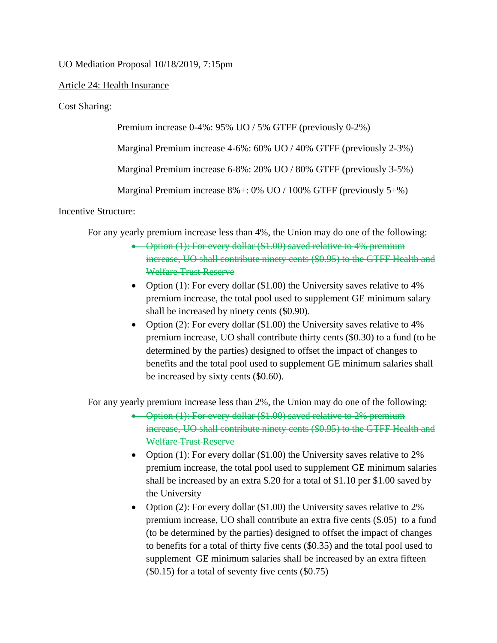UO Mediation Proposal 10/18/2019, 7:15pm

## Article 24: Health Insurance

Cost Sharing:

Premium increase 0-4%: 95% UO / 5% GTFF (previously 0-2%)

Marginal Premium increase 4-6%: 60% UO / 40% GTFF (previously 2-3%)

Marginal Premium increase 6-8%: 20% UO / 80% GTFF (previously 3-5%)

Marginal Premium increase 8%+: 0% UO / 100% GTFF (previously 5+%)

Incentive Structure:

For any yearly premium increase less than 4%, the Union may do one of the following:

- Option (1): For every dollar (\$1.00) saved relative to 4% premium increase, UO shall contribute ninety cents (\$0.95) to the GTFF Health and Welfare Trust Reserve
- Option (1): For every dollar (\$1.00) the University saves relative to 4% premium increase, the total pool used to supplement GE minimum salary shall be increased by ninety cents (\$0.90).
- Option (2): For every dollar (\$1.00) the University saves relative to 4% premium increase, UO shall contribute thirty cents (\$0.30) to a fund (to be determined by the parties) designed to offset the impact of changes to benefits and the total pool used to supplement GE minimum salaries shall be increased by sixty cents (\$0.60).

For any yearly premium increase less than 2%, the Union may do one of the following:

- Option (1): For every dollar (\$1.00) saved relative to 2% premium increase, UO shall contribute ninety cents (\$0.95) to the GTFF Health and Welfare Trust Reserve
- Option (1): For every dollar (\$1.00) the University saves relative to 2% premium increase, the total pool used to supplement GE minimum salaries shall be increased by an extra \$.20 for a total of \$1.10 per \$1.00 saved by the University
- Option (2): For every dollar (\$1.00) the University saves relative to 2% premium increase, UO shall contribute an extra five cents (\$.05) to a fund (to be determined by the parties) designed to offset the impact of changes to benefits for a total of thirty five cents (\$0.35) and the total pool used to supplement GE minimum salaries shall be increased by an extra fifteen (\$0.15) for a total of seventy five cents (\$0.75)